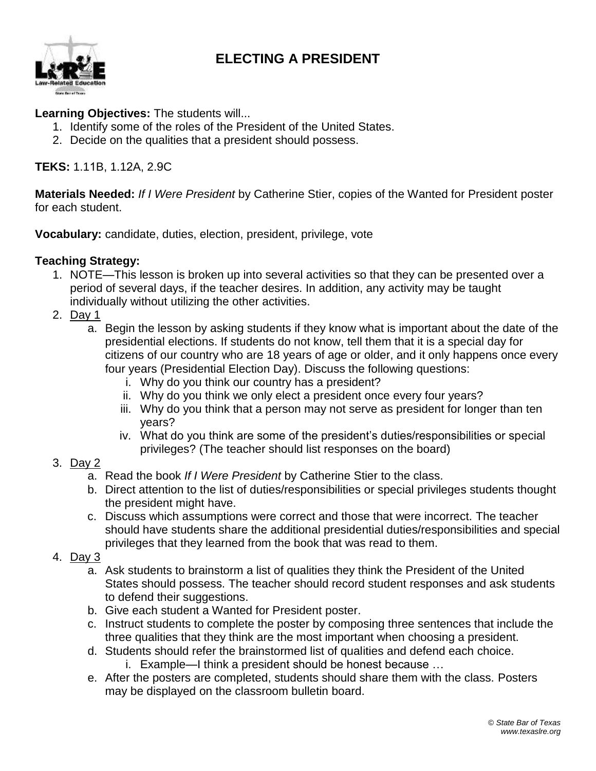## **ELECTING A PRESIDENT**



## **Learning Objectives:** The students will...

- 1. Identify some of the roles of the President of the United States.
- 2. Decide on the qualities that a president should possess.

**TEKS:** 1.11B, 1.12A, 2.9C

**Materials Needed:** *If I Were President* by Catherine Stier, copies of the Wanted for President poster for each student.

**Vocabulary:** candidate, duties, election, president, privilege, vote

## **Teaching Strategy:**

- 1. NOTE—This lesson is broken up into several activities so that they can be presented over a period of several days, if the teacher desires. In addition, any activity may be taught individually without utilizing the other activities.
- 2. Day 1
	- a. Begin the lesson by asking students if they know what is important about the date of the presidential elections. If students do not know, tell them that it is a special day for citizens of our country who are 18 years of age or older, and it only happens once every four years (Presidential Election Day). Discuss the following questions:
		- i. Why do you think our country has a president?
		- ii. Why do you think we only elect a president once every four years?
		- iii. Why do you think that a person may not serve as president for longer than ten years?
		- iv. What do you think are some of the president's duties/responsibilities or special privileges? (The teacher should list responses on the board)

## 3. Day 2

- a. Read the book *If I Were President* by Catherine Stier to the class.
- b. Direct attention to the list of duties/responsibilities or special privileges students thought the president might have.
- c. Discuss which assumptions were correct and those that were incorrect. The teacher should have students share the additional presidential duties/responsibilities and special privileges that they learned from the book that was read to them.
- 4. Day 3
	- a. Ask students to brainstorm a list of qualities they think the President of the United States should possess. The teacher should record student responses and ask students to defend their suggestions.
	- b. Give each student a Wanted for President poster.
	- c. Instruct students to complete the poster by composing three sentences that include the three qualities that they think are the most important when choosing a president.
	- d. Students should refer the brainstormed list of qualities and defend each choice.
		- i. Example—I think a president should be honest because …
	- e. After the posters are completed, students should share them with the class. Posters may be displayed on the classroom bulletin board.